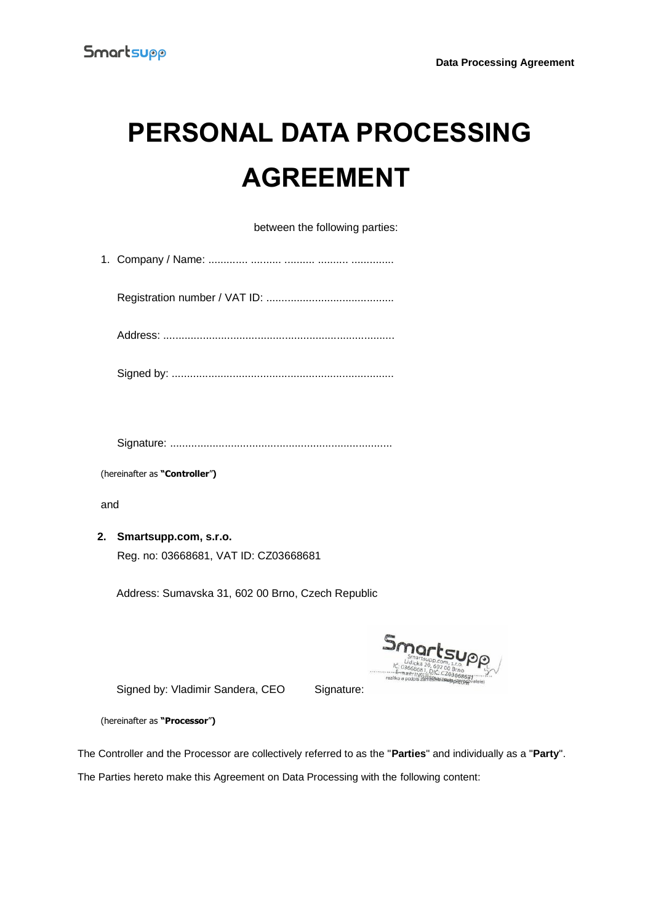# **PERSONAL DATA PROCESSING AGREEMENT**

between the following parties:

| (hereinafter as "Controller") |                                                   |
|-------------------------------|---------------------------------------------------|
| and                           |                                                   |
| 2.                            | Smartsupp.com, s.r.o.                             |
|                               | Reg. no: 03668681, VAT ID: CZ03668681             |
|                               | Address: Sumavska 31, 602 00 Brno, Czech Republic |
|                               | Smarts                                            |

Signed by: Vladimir Sandera, CEO Signature:

(hereinafter as **"Processor**"**)**

The Controller and the Processor are collectively referred to as the "**Parties**" and individually as a "**Party**".

The Parties hereto make this Agreement on Data Processing with the following content: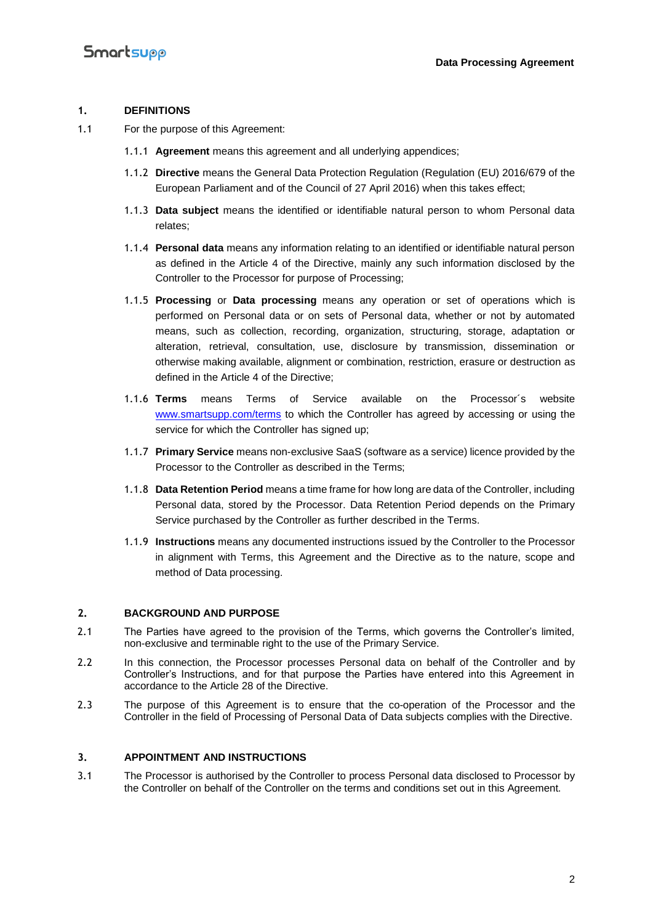#### **1. DEFINITIONS**

- 1.1 For the purpose of this Agreement:
	- 1.1.1 **Agreement** means this agreement and all underlying appendices;
	- 1.1.2 **Directive** means the General Data Protection Regulation (Regulation (EU) 2016/679 of the European Parliament and of the Council of 27 April 2016) when this takes effect;
	- 1.1.3 **Data subject** means the identified or identifiable natural person to whom Personal data relates;
	- 1.1.4 **Personal data** means any information relating to an identified or identifiable natural person as defined in the Article 4 of the Directive, mainly any such information disclosed by the Controller to the Processor for purpose of Processing;
	- 1.1.5 **Processing** or **Data processing** means any operation or set of operations which is performed on Personal data or on sets of Personal data, whether or not by automated means, such as collection, recording, organization, structuring, storage, adaptation or alteration, retrieval, consultation, use, disclosure by transmission, dissemination or otherwise making available, alignment or combination, restriction, erasure or destruction as defined in the Article 4 of the Directive;
	- 1.1.6 **Terms** means Terms of Service available on the Processor´s website [www.smartsupp.com/terms](https://www.smartsupp.com/terms) to which the Controller has agreed by accessing or using the service for which the Controller has signed up;
	- 1.1.7 **Primary Service** means non-exclusive SaaS (software as a service) licence provided by the Processor to the Controller as described in the Terms;
	- 1.1.8 **Data Retention Period** means a time frame for how long are data of the Controller, including Personal data, stored by the Processor. Data Retention Period depends on the Primary Service purchased by the Controller as further described in the Terms.
	- 1.1.9 **Instructions** means any documented instructions issued by the Controller to the Processor in alignment with Terms, this Agreement and the Directive as to the nature, scope and method of Data processing.

#### **2. BACKGROUND AND PURPOSE**

- 2.1 The Parties have agreed to the provision of the Terms, which governs the Controller's limited, non-exclusive and terminable right to the use of the Primary Service.
- 2.2 In this connection, the Processor processes Personal data on behalf of the Controller and by Controller's Instructions, and for that purpose the Parties have entered into this Agreement in accordance to the Article 28 of the Directive.
- 2.3 The purpose of this Agreement is to ensure that the co-operation of the Processor and the Controller in the field of Processing of Personal Data of Data subjects complies with the Directive.

#### **3. APPOINTMENT AND INSTRUCTIONS**

3.1 The Processor is authorised by the Controller to process Personal data disclosed to Processor by the Controller on behalf of the Controller on the terms and conditions set out in this Agreement.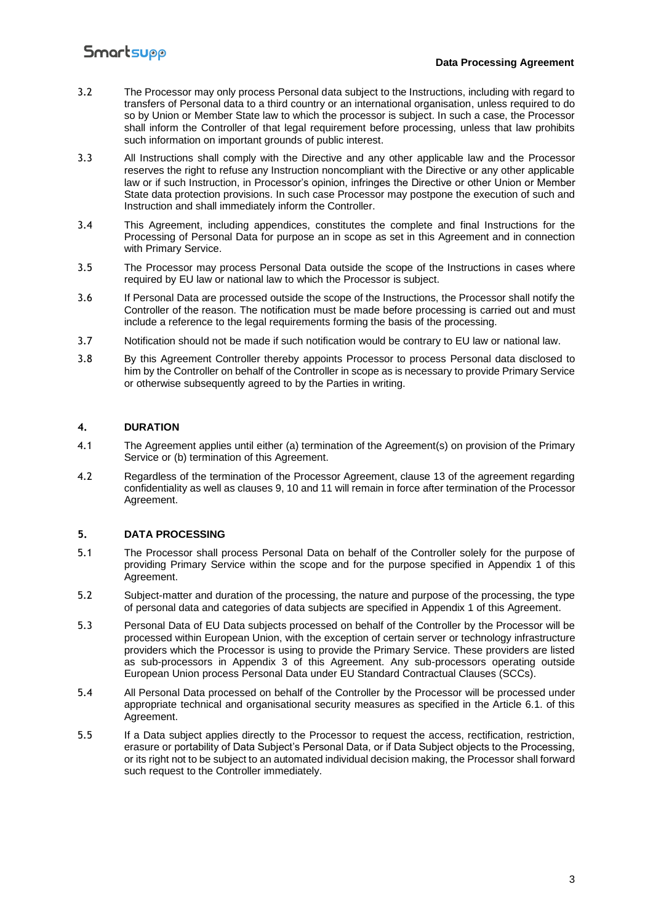#### **Data Processing Agreement**

- 3.2 The Processor may only process Personal data subject to the Instructions, including with regard to transfers of Personal data to a third country or an international organisation, unless required to do so by Union or Member State law to which the processor is subject. In such a case, the Processor shall inform the Controller of that legal requirement before processing, unless that law prohibits such information on important grounds of public interest.
- 3.3 All Instructions shall comply with the Directive and any other applicable law and the Processor reserves the right to refuse any Instruction noncompliant with the Directive or any other applicable law or if such Instruction, in Processor's opinion, infringes the Directive or other Union or Member State data protection provisions. In such case Processor may postpone the execution of such and Instruction and shall immediately inform the Controller.
- 3.4 This Agreement, including appendices, constitutes the complete and final Instructions for the Processing of Personal Data for purpose an in scope as set in this Agreement and in connection with Primary Service.
- 3.5 The Processor may process Personal Data outside the scope of the Instructions in cases where required by EU law or national law to which the Processor is subject.
- 3.6 If Personal Data are processed outside the scope of the Instructions, the Processor shall notify the Controller of the reason. The notification must be made before processing is carried out and must include a reference to the legal requirements forming the basis of the processing.
- 3.7 Notification should not be made if such notification would be contrary to EU law or national law.
- 3.8 By this Agreement Controller thereby appoints Processor to process Personal data disclosed to him by the Controller on behalf of the Controller in scope as is necessary to provide Primary Service or otherwise subsequently agreed to by the Parties in writing.

#### **4. DURATION**

- 4.1 The Agreement applies until either (a) termination of the Agreement(s) on provision of the Primary Service or (b) termination of this Agreement.
- 4.2 Regardless of the termination of the Processor Agreement, clause 13 of the agreement regarding confidentiality as well as clauses 9, 10 and 11 will remain in force after termination of the Processor Agreement.

#### **5. DATA PROCESSING**

- 5.1 The Processor shall process Personal Data on behalf of the Controller solely for the purpose of providing Primary Service within the scope and for the purpose specified in Appendix 1 of this Agreement.
- 5.2 Subject-matter and duration of the processing, the nature and purpose of the processing, the type of personal data and categories of data subjects are specified in Appendix 1 of this Agreement.
- 5.3 Personal Data of EU Data subjects processed on behalf of the Controller by the Processor will be processed within European Union, with the exception of certain server or technology infrastructure providers which the Processor is using to provide the Primary Service. These providers are listed as sub-processors in Appendix 3 of this Agreement. Any sub-processors operating outside European Union process Personal Data under EU Standard Contractual Clauses (SCCs).
- 5.4 All Personal Data processed on behalf of the Controller by the Processor will be processed under appropriate technical and organisational security measures as specified in the Article 6.1. of this Agreement.
- 5.5 If a Data subject applies directly to the Processor to request the access, rectification, restriction, erasure or portability of Data Subject's Personal Data, or if Data Subject objects to the Processing, or its right not to be subject to an automated individual decision making, the Processor shall forward such request to the Controller immediately.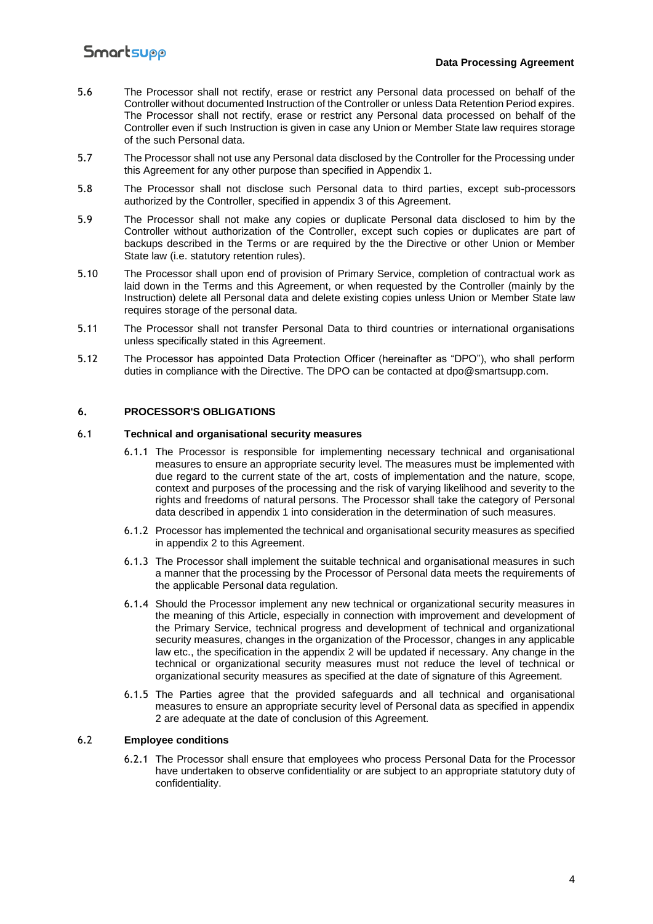#### **Data Processing Agreement**

- 5.6 The Processor shall not rectify, erase or restrict any Personal data processed on behalf of the Controller without documented Instruction of the Controller or unless Data Retention Period expires. The Processor shall not rectify, erase or restrict any Personal data processed on behalf of the Controller even if such Instruction is given in case any Union or Member State law requires storage of the such Personal data.
- 5.7 The Processor shall not use any Personal data disclosed by the Controller for the Processing under this Agreement for any other purpose than specified in Appendix 1.
- 5.8 The Processor shall not disclose such Personal data to third parties, except sub-processors authorized by the Controller, specified in appendix 3 of this Agreement.
- 5.9 The Processor shall not make any copies or duplicate Personal data disclosed to him by the Controller without authorization of the Controller, except such copies or duplicates are part of backups described in the Terms or are required by the the Directive or other Union or Member State law (i.e. statutory retention rules).
- 5.10 The Processor shall upon end of provision of Primary Service, completion of contractual work as laid down in the Terms and this Agreement, or when requested by the Controller (mainly by the Instruction) delete all Personal data and delete existing copies unless Union or Member State law requires storage of the personal data.
- 5.11 The Processor shall not transfer Personal Data to third countries or international organisations unless specifically stated in this Agreement.
- 5.12 The Processor has appointed Data Protection Officer (hereinafter as "DPO"), who shall perform duties in compliance with the Directive. The DPO can be contacted at dpo@smartsupp.com.

#### **6. PROCESSOR'S OBLIGATIONS**

#### 6.1 **Technical and organisational security measures**

- 6.1.1 The Processor is responsible for implementing necessary technical and organisational measures to ensure an appropriate security level. The measures must be implemented with due regard to the current state of the art, costs of implementation and the nature, scope, context and purposes of the processing and the risk of varying likelihood and severity to the rights and freedoms of natural persons. The Processor shall take the category of Personal data described in appendix 1 into consideration in the determination of such measures.
- 6.1.2 Processor has implemented the technical and organisational security measures as specified in appendix 2 to this Agreement.
- 6.1.3 The Processor shall implement the suitable technical and organisational measures in such a manner that the processing by the Processor of Personal data meets the requirements of the applicable Personal data regulation.
- 6.1.4 Should the Processor implement any new technical or organizational security measures in the meaning of this Article, especially in connection with improvement and development of the Primary Service, technical progress and development of technical and organizational security measures, changes in the organization of the Processor, changes in any applicable law etc., the specification in the appendix 2 will be updated if necessary. Any change in the technical or organizational security measures must not reduce the level of technical or organizational security measures as specified at the date of signature of this Agreement.
- 6.1.5 The Parties agree that the provided safeguards and all technical and organisational measures to ensure an appropriate security level of Personal data as specified in appendix 2 are adequate at the date of conclusion of this Agreement.

#### 6.2 **Employee conditions**

6.2.1 The Processor shall ensure that employees who process Personal Data for the Processor have undertaken to observe confidentiality or are subject to an appropriate statutory duty of confidentiality.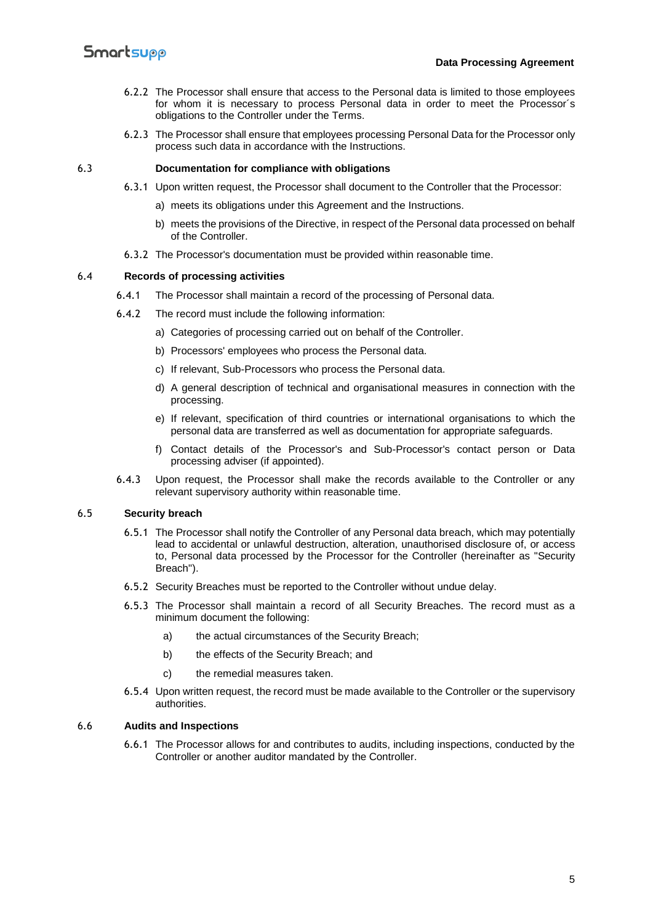- 6.2.2 The Processor shall ensure that access to the Personal data is limited to those employees for whom it is necessary to process Personal data in order to meet the Processor´s obligations to the Controller under the Terms.
- 6.2.3 The Processor shall ensure that employees processing Personal Data for the Processor only process such data in accordance with the Instructions.

#### 6.3 **Documentation for compliance with obligations**

- 6.3.1 Upon written request, the Processor shall document to the Controller that the Processor:
	- a) meets its obligations under this Agreement and the Instructions.
	- b) meets the provisions of the Directive, in respect of the Personal data processed on behalf of the Controller.
- 6.3.2 The Processor's documentation must be provided within reasonable time.

#### 6.4 **Records of processing activities**

- 6.4.1 The Processor shall maintain a record of the processing of Personal data.
- 6.4.2 The record must include the following information:
	- a) Categories of processing carried out on behalf of the Controller.
	- b) Processors' employees who process the Personal data.
	- c) If relevant, Sub-Processors who process the Personal data.
	- d) A general description of technical and organisational measures in connection with the processing.
	- e) If relevant, specification of third countries or international organisations to which the personal data are transferred as well as documentation for appropriate safeguards.
	- f) Contact details of the Processor's and Sub-Processor's contact person or Data processing adviser (if appointed).
- 6.4.3 Upon request, the Processor shall make the records available to the Controller or any relevant supervisory authority within reasonable time.

#### 6.5 **Security breach**

- 6.5.1 The Processor shall notify the Controller of any Personal data breach, which may potentially lead to accidental or unlawful destruction, alteration, unauthorised disclosure of, or access to, Personal data processed by the Processor for the Controller (hereinafter as "Security Breach").
- 6.5.2 Security Breaches must be reported to the Controller without undue delay.
- 6.5.3 The Processor shall maintain a record of all Security Breaches. The record must as a minimum document the following:
	- a) the actual circumstances of the Security Breach;
	- b) the effects of the Security Breach; and
	- c) the remedial measures taken.
- 6.5.4 Upon written request, the record must be made available to the Controller or the supervisory authorities.

#### 6.6 **Audits and Inspections**

6.6.1 The Processor allows for and contributes to audits, including inspections, conducted by the Controller or another auditor mandated by the Controller.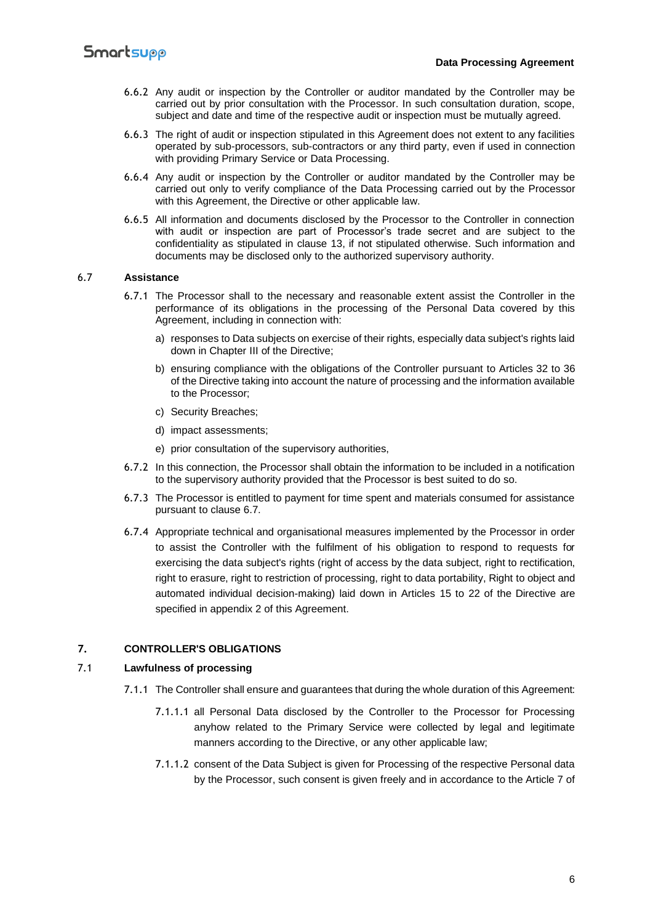- 6.6.2 Any audit or inspection by the Controller or auditor mandated by the Controller may be carried out by prior consultation with the Processor. In such consultation duration, scope, subject and date and time of the respective audit or inspection must be mutually agreed.
- 6.6.3 The right of audit or inspection stipulated in this Agreement does not extent to any facilities operated by sub-processors, sub-contractors or any third party, even if used in connection with providing Primary Service or Data Processing.
- 6.6.4 Any audit or inspection by the Controller or auditor mandated by the Controller may be carried out only to verify compliance of the Data Processing carried out by the Processor with this Agreement, the Directive or other applicable law.
- 6.6.5 All information and documents disclosed by the Processor to the Controller in connection with audit or inspection are part of Processor's trade secret and are subject to the confidentiality as stipulated in clause 13, if not stipulated otherwise. Such information and documents may be disclosed only to the authorized supervisory authority.

#### 6.7 **Assistance**

- 6.7.1 The Processor shall to the necessary and reasonable extent assist the Controller in the performance of its obligations in the processing of the Personal Data covered by this Agreement, including in connection with:
	- a) responses to Data subjects on exercise of their rights, especially data subject's rights laid down in Chapter III of the Directive;
	- b) ensuring compliance with the obligations of the Controller pursuant to Articles 32 to 36 of the Directive taking into account the nature of processing and the information available to the Processor;
	- c) Security Breaches;
	- d) impact assessments;
	- e) prior consultation of the supervisory authorities,
- 6.7.2 In this connection, the Processor shall obtain the information to be included in a notification to the supervisory authority provided that the Processor is best suited to do so.
- 6.7.3 The Processor is entitled to payment for time spent and materials consumed for assistance pursuant to clause 6.7.
- 6.7.4 Appropriate technical and organisational measures implemented by the Processor in order to assist the Controller with the fulfilment of his obligation to respond to requests for exercising the data subject's rights (right of access by the data subject, right to rectification, right to erasure, right to restriction of processing, right to data portability, Right to object and automated individual decision-making) laid down in Articles 15 to 22 of the Directive are specified in appendix 2 of this Agreement.

#### **7. CONTROLLER'S OBLIGATIONS**

#### 7.1 **Lawfulness of processing**

- 7.1.1 The Controller shall ensure and guarantees that during the whole duration of this Agreement:
	- 7.1.1.1 all Personal Data disclosed by the Controller to the Processor for Processing anyhow related to the Primary Service were collected by legal and legitimate manners according to the Directive, or any other applicable law;
	- 7.1.1.2 consent of the Data Subject is given for Processing of the respective Personal data by the Processor, such consent is given freely and in accordance to the Article 7 of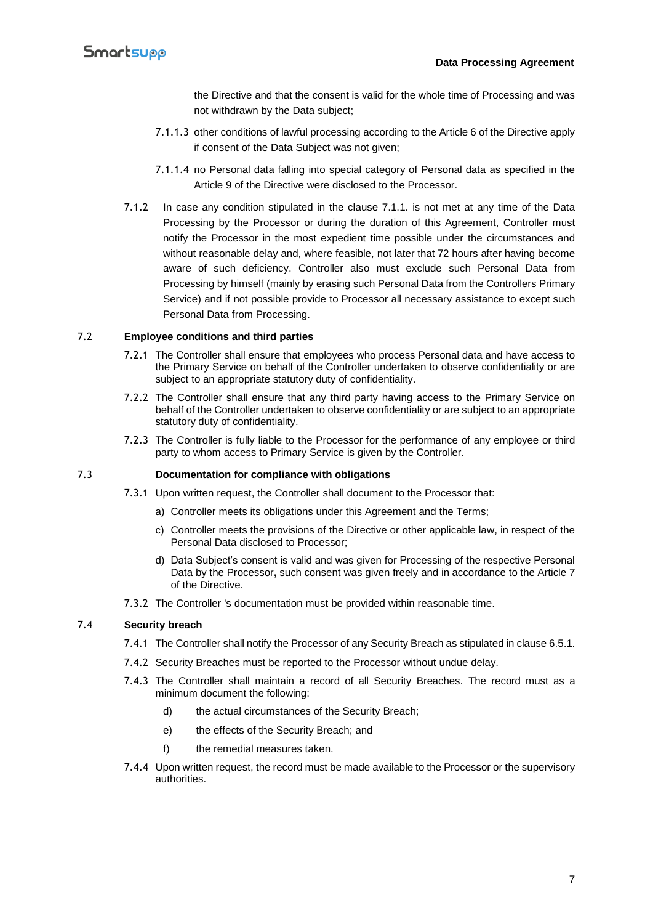the Directive and that the consent is valid for the whole time of Processing and was not withdrawn by the Data subject;

- 7.1.1.3 other conditions of lawful processing according to the Article 6 of the Directive apply if consent of the Data Subject was not given;
- 7.1.1.4 no Personal data falling into special category of Personal data as specified in the Article 9 of the Directive were disclosed to the Processor.
- 7.1.2 In case any condition stipulated in the clause 7.1.1. is not met at any time of the Data Processing by the Processor or during the duration of this Agreement, Controller must notify the Processor in the most expedient time possible under the circumstances and without reasonable delay and, where feasible, not later that 72 hours after having become aware of such deficiency. Controller also must exclude such Personal Data from Processing by himself (mainly by erasing such Personal Data from the Controllers Primary Service) and if not possible provide to Processor all necessary assistance to except such Personal Data from Processing.

#### 7.2 **Employee conditions and third parties**

- 7.2.1 The Controller shall ensure that employees who process Personal data and have access to the Primary Service on behalf of the Controller undertaken to observe confidentiality or are subject to an appropriate statutory duty of confidentiality.
- 7.2.2 The Controller shall ensure that any third party having access to the Primary Service on behalf of the Controller undertaken to observe confidentiality or are subject to an appropriate statutory duty of confidentiality.
- 7.2.3 The Controller is fully liable to the Processor for the performance of any employee or third party to whom access to Primary Service is given by the Controller.

#### 7.3 **Documentation for compliance with obligations**

- 7.3.1 Upon written request, the Controller shall document to the Processor that:
	- a) Controller meets its obligations under this Agreement and the Terms;
	- c) Controller meets the provisions of the Directive or other applicable law, in respect of the Personal Data disclosed to Processor;
	- d) Data Subject's consent is valid and was given for Processing of the respective Personal Data by the Processor**,** such consent was given freely and in accordance to the Article 7 of the Directive.
- 7.3.2 The Controller 's documentation must be provided within reasonable time.

#### 7.4 **Security breach**

- 7.4.1 The Controller shall notify the Processor of any Security Breach as stipulated in clause 6.5.1.
- 7.4.2 Security Breaches must be reported to the Processor without undue delay.
- 7.4.3 The Controller shall maintain a record of all Security Breaches. The record must as a minimum document the following:
	- d) the actual circumstances of the Security Breach;
	- e) the effects of the Security Breach; and
	- f) the remedial measures taken.
- 7.4.4 Upon written request, the record must be made available to the Processor or the supervisory authorities.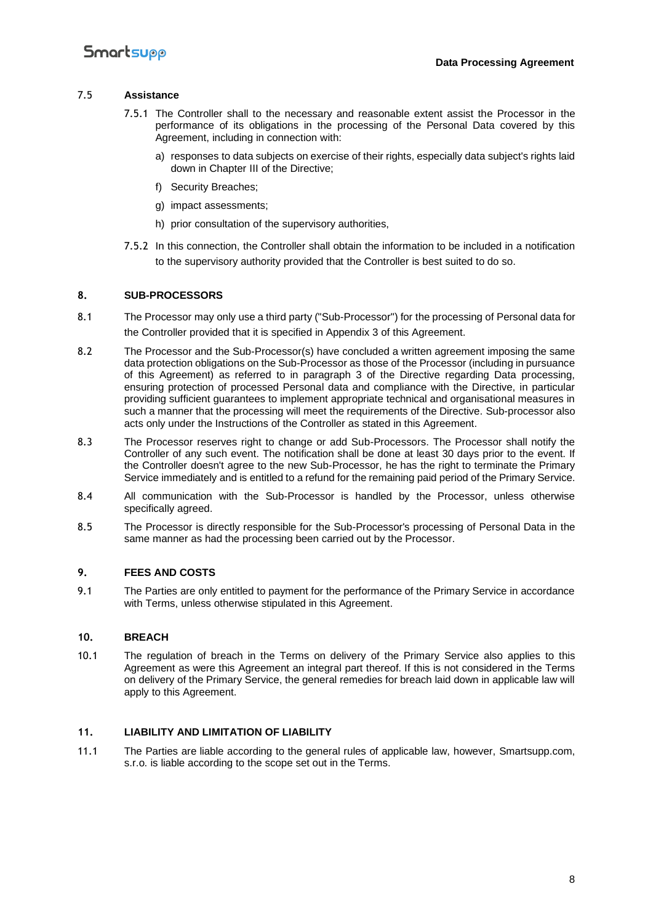#### 7.5 **Assistance**

- 7.5.1 The Controller shall to the necessary and reasonable extent assist the Processor in the performance of its obligations in the processing of the Personal Data covered by this Agreement, including in connection with:
	- a) responses to data subjects on exercise of their rights, especially data subject's rights laid down in Chapter III of the Directive;
	- f) Security Breaches;
	- g) impact assessments;
	- h) prior consultation of the supervisory authorities,
- 7.5.2 In this connection, the Controller shall obtain the information to be included in a notification to the supervisory authority provided that the Controller is best suited to do so.

#### **8. SUB-PROCESSORS**

- 8.1 The Processor may only use a third party ("Sub-Processor") for the processing of Personal data for the Controller provided that it is specified in Appendix 3 of this Agreement.
- 8.2 The Processor and the Sub-Processor(s) have concluded a written agreement imposing the same data protection obligations on the Sub-Processor as those of the Processor (including in pursuance of this Agreement) as referred to in paragraph 3 of the Directive regarding Data processing, ensuring protection of processed Personal data and compliance with the Directive, in particular providing sufficient guarantees to implement appropriate technical and organisational measures in such a manner that the processing will meet the requirements of the Directive. Sub-processor also acts only under the Instructions of the Controller as stated in this Agreement.
- 8.3 The Processor reserves right to change or add Sub-Processors. The Processor shall notify the Controller of any such event. The notification shall be done at least 30 days prior to the event. If the Controller doesn't agree to the new Sub-Processor, he has the right to terminate the Primary Service immediately and is entitled to a refund for the remaining paid period of the Primary Service.
- 8.4 All communication with the Sub-Processor is handled by the Processor, unless otherwise specifically agreed.
- 8.5 The Processor is directly responsible for the Sub-Processor's processing of Personal Data in the same manner as had the processing been carried out by the Processor.

#### **9. FEES AND COSTS**

9.1 The Parties are only entitled to payment for the performance of the Primary Service in accordance with Terms, unless otherwise stipulated in this Agreement.

#### **10. BREACH**

10.1 The regulation of breach in the Terms on delivery of the Primary Service also applies to this Agreement as were this Agreement an integral part thereof. If this is not considered in the Terms on delivery of the Primary Service, the general remedies for breach laid down in applicable law will apply to this Agreement.

#### **11. LIABILITY AND LIMITATION OF LIABILITY**

11.1 The Parties are liable according to the general rules of applicable law, however, Smartsupp.com, s.r.o. is liable according to the scope set out in the Terms.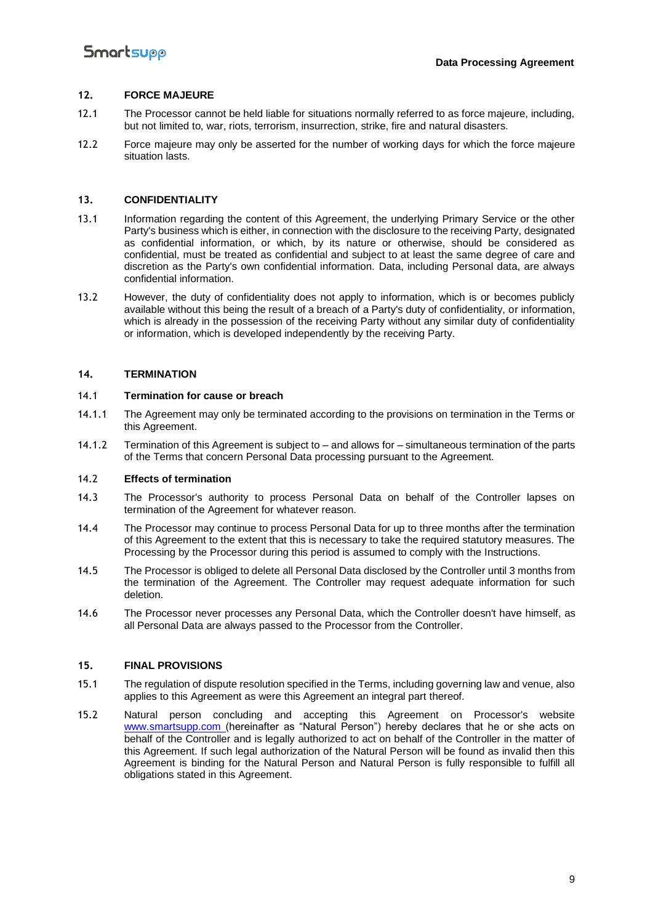#### **12. FORCE MAJEURE**

- 12.1 The Processor cannot be held liable for situations normally referred to as force majeure, including, but not limited to, war, riots, terrorism, insurrection, strike, fire and natural disasters.
- 12.2 Force majeure may only be asserted for the number of working days for which the force majeure situation lasts.

#### **13. CONFIDENTIALITY**

- 13.1 Information regarding the content of this Agreement, the underlying Primary Service or the other Party's business which is either, in connection with the disclosure to the receiving Party, designated as confidential information, or which, by its nature or otherwise, should be considered as confidential, must be treated as confidential and subject to at least the same degree of care and discretion as the Party's own confidential information. Data, including Personal data, are always confidential information.
- 13.2 However, the duty of confidentiality does not apply to information, which is or becomes publicly available without this being the result of a breach of a Party's duty of confidentiality, or information, which is already in the possession of the receiving Party without any similar duty of confidentiality or information, which is developed independently by the receiving Party.

#### **14. TERMINATION**

#### 14.1 **Termination for cause or breach**

- 14.1.1 The Agreement may only be terminated according to the provisions on termination in the Terms or this Agreement.
- 14.1.2 Termination of this Agreement is subject to and allows for simultaneous termination of the parts of the Terms that concern Personal Data processing pursuant to the Agreement.

#### 14.2 **Effects of termination**

- 14.3 The Processor's authority to process Personal Data on behalf of the Controller lapses on termination of the Agreement for whatever reason.
- 14.4 The Processor may continue to process Personal Data for up to three months after the termination of this Agreement to the extent that this is necessary to take the required statutory measures. The Processing by the Processor during this period is assumed to comply with the Instructions.
- 14.5 The Processor is obliged to delete all Personal Data disclosed by the Controller until 3 months from the termination of the Agreement. The Controller may request adequate information for such deletion.
- 14.6 The Processor never processes any Personal Data, which the Controller doesn't have himself, as all Personal Data are always passed to the Processor from the Controller.

#### **15. FINAL PROVISIONS**

- 15.1 The regulation of dispute resolution specified in the Terms, including governing law and venue, also applies to this Agreement as were this Agreement an integral part thereof.
- 15.2 Natural person concluding and accepting this Agreement on Processor's website [www.smartsupp.com](https://www.smartsupp.com/) (hereinafter as "Natural Person") hereby declares that he or she acts on behalf of the Controller and is legally authorized to act on behalf of the Controller in the matter of this Agreement. If such legal authorization of the Natural Person will be found as invalid then this Agreement is binding for the Natural Person and Natural Person is fully responsible to fulfill all obligations stated in this Agreement.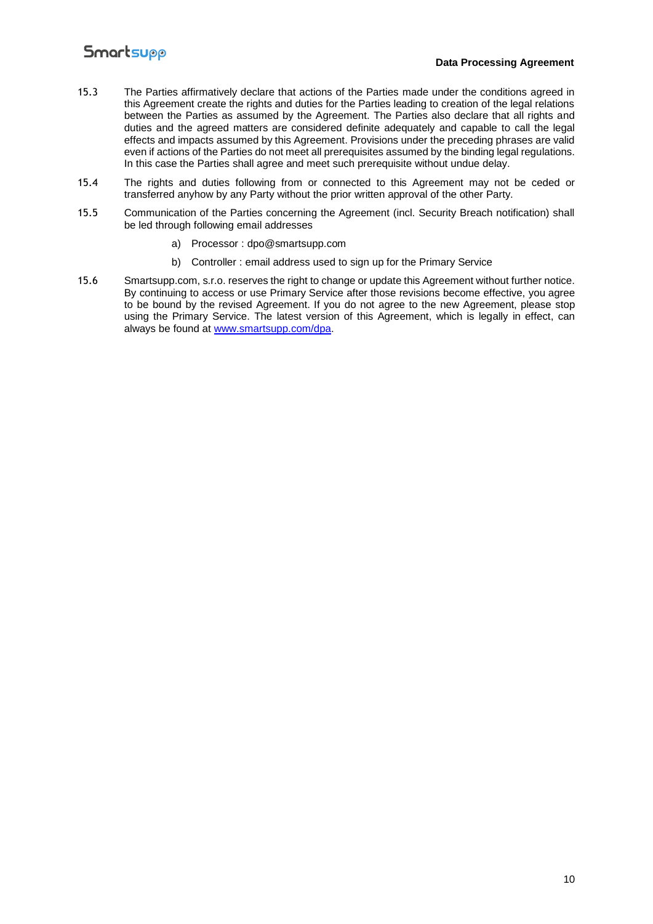#### **Data Processing Agreement**

- 15.3 The Parties affirmatively declare that actions of the Parties made under the conditions agreed in this Agreement create the rights and duties for the Parties leading to creation of the legal relations between the Parties as assumed by the Agreement. The Parties also declare that all rights and duties and the agreed matters are considered definite adequately and capable to call the legal effects and impacts assumed by this Agreement. Provisions under the preceding phrases are valid even if actions of the Parties do not meet all prerequisites assumed by the binding legal regulations. In this case the Parties shall agree and meet such prerequisite without undue delay.
- 15.4 The rights and duties following from or connected to this Agreement may not be ceded or transferred anyhow by any Party without the prior written approval of the other Party.
- 15.5 Communication of the Parties concerning the Agreement (incl. Security Breach notification) shall be led through following email addresses
	- a) Processor : dpo@smartsupp.com
	- b) Controller : email address used to sign up for the Primary Service
- 15.6 Smartsupp.com, s.r.o. reserves the right to change or update this Agreement without further notice. By continuing to access or use Primary Service after those revisions become effective, you agree to be bound by the revised Agreement. If you do not agree to the new Agreement, please stop using the Primary Service. The latest version of this Agreement, which is legally in effect, can always be found at [www.smartsupp.com/dpa.](https://www.smartsupp.com/dpa)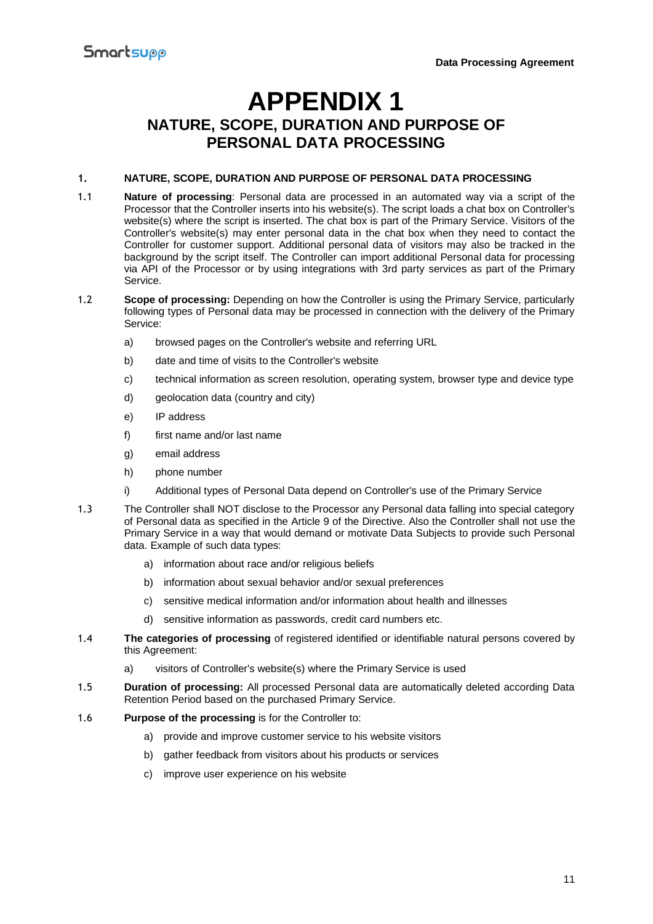## **APPENDIX 1 NATURE, SCOPE, DURATION AND PURPOSE OF PERSONAL DATA PROCESSING**

#### **1. NATURE, SCOPE, DURATION AND PURPOSE OF PERSONAL DATA PROCESSING**

- 1.1 **Nature of processing**: Personal data are processed in an automated way via a script of the Processor that the Controller inserts into his website(s). The script loads a chat box on Controller's website(s) where the script is inserted. The chat box is part of the Primary Service. Visitors of the Controller's website(s) may enter personal data in the chat box when they need to contact the Controller for customer support. Additional personal data of visitors may also be tracked in the background by the script itself. The Controller can import additional Personal data for processing via API of the Processor or by using integrations with 3rd party services as part of the Primary Service.
- 1.2 **Scope of processing:** Depending on how the Controller is using the Primary Service, particularly following types of Personal data may be processed in connection with the delivery of the Primary Service:
	- a) browsed pages on the Controller's website and referring URL
	- b) date and time of visits to the Controller's website
	- c) technical information as screen resolution, operating system, browser type and device type
	- d) geolocation data (country and city)
	- e) IP address
	- f) first name and/or last name
	- g) email address
	- h) phone number
	- i) Additional types of Personal Data depend on Controller's use of the Primary Service
- 1.3 The Controller shall NOT disclose to the Processor any Personal data falling into special category of Personal data as specified in the Article 9 of the Directive. Also the Controller shall not use the Primary Service in a way that would demand or motivate Data Subjects to provide such Personal data. Example of such data types:
	- a) information about race and/or religious beliefs
	- b) information about sexual behavior and/or sexual preferences
	- c) sensitive medical information and/or information about health and illnesses
	- d) sensitive information as passwords, credit card numbers etc.
- 1.4 **The categories of processing** of registered identified or identifiable natural persons covered by this Agreement:
	- a) visitors of Controller's website(s) where the Primary Service is used
- 1.5 **Duration of processing:** All processed Personal data are automatically deleted according Data Retention Period based on the purchased Primary Service.
- 1.6 **Purpose of the processing** is for the Controller to:
	- a) provide and improve customer service to his website visitors
	- b) gather feedback from visitors about his products or services
	- c) improve user experience on his website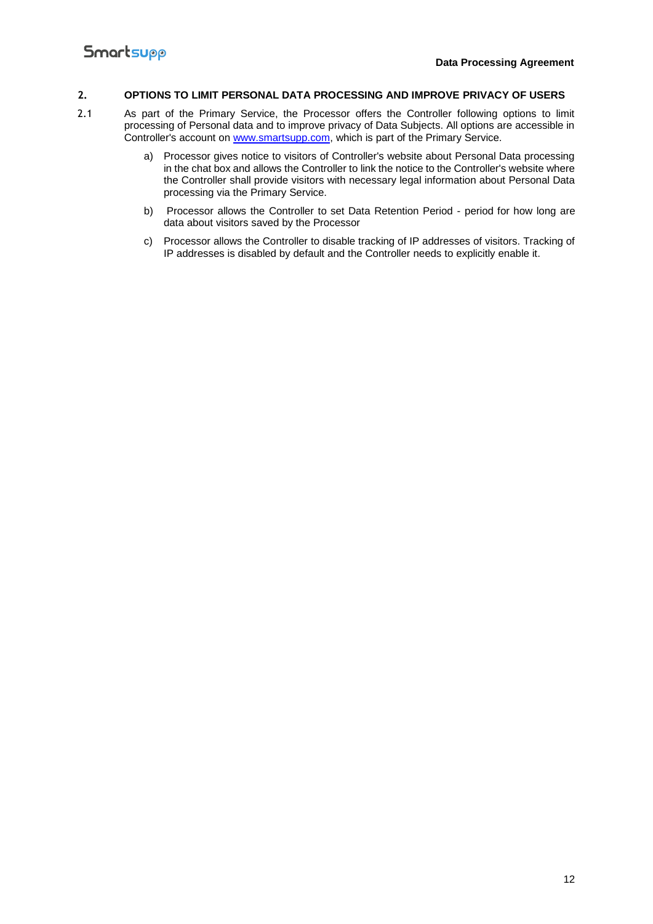#### **2. OPTIONS TO LIMIT PERSONAL DATA PROCESSING AND IMPROVE PRIVACY OF USERS**

- 2.1 As part of the Primary Service, the Processor offers the Controller following options to limit processing of Personal data and to improve privacy of Data Subjects. All options are accessible in Controller's account on [www.smartsupp.com,](https://www.smartsupp.com/) which is part of the Primary Service.
	- a) Processor gives notice to visitors of Controller's website about Personal Data processing in the chat box and allows the Controller to link the notice to the Controller's website where the Controller shall provide visitors with necessary legal information about Personal Data processing via the Primary Service.
	- b) Processor allows the Controller to set Data Retention Period period for how long are data about visitors saved by the Processor
	- c) Processor allows the Controller to disable tracking of IP addresses of visitors. Tracking of IP addresses is disabled by default and the Controller needs to explicitly enable it.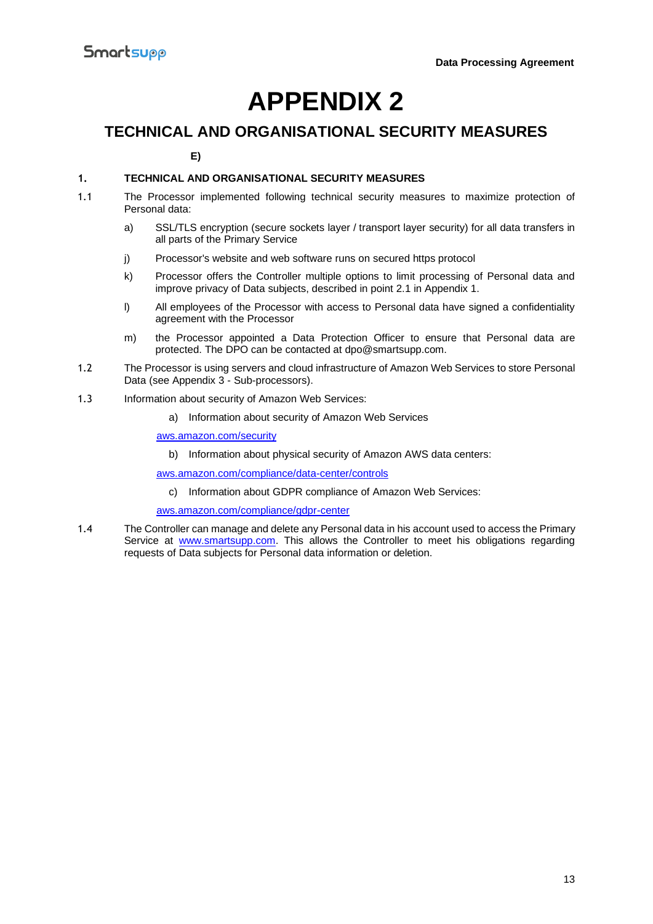## **APPENDIX 2**

### **TECHNICAL AND ORGANISATIONAL SECURITY MEASURES**

**E)**

#### **1. TECHNICAL AND ORGANISATIONAL SECURITY MEASURES**

- 1.1 The Processor implemented following technical security measures to maximize protection of Personal data:
	- a) SSL/TLS encryption (secure sockets layer / transport layer security) for all data transfers in all parts of the Primary Service
	- j) Processor's website and web software runs on secured https protocol
	- k) Processor offers the Controller multiple options to limit processing of Personal data and improve privacy of Data subjects, described in point 2.1 in Appendix 1.
	- l) All employees of the Processor with access to Personal data have signed a confidentiality agreement with the Processor
	- m) the Processor appointed a Data Protection Officer to ensure that Personal data are protected. The DPO can be contacted at dpo@smartsupp.com.
- 1.2 The Processor is using servers and cloud infrastructure of Amazon Web Services to store Personal Data (see Appendix 3 - Sub-processors).
- 1.3 Information about security of Amazon Web Services:
	- a) Information about security of Amazon Web Services

[aws.amazon.com/security](https://aws.amazon.com/security)

b) Information about physical security of Amazon AWS data centers:

[aws.amazon.com/compliance/data-center/controls](https://aws.amazon.com/compliance/data-center/controls)

c) Information about GDPR compliance of Amazon Web Services:

[aws.amazon.com/compliance/gdpr-center](https://aws.amazon.com/compliance/gdpr-center)

1.4 The Controller can manage and delete any Personal data in his account used to access the Primary Service at [www.smartsupp.com.](https://www.smartsupp.com/) This allows the Controller to meet his obligations regarding requests of Data subjects for Personal data information or deletion.